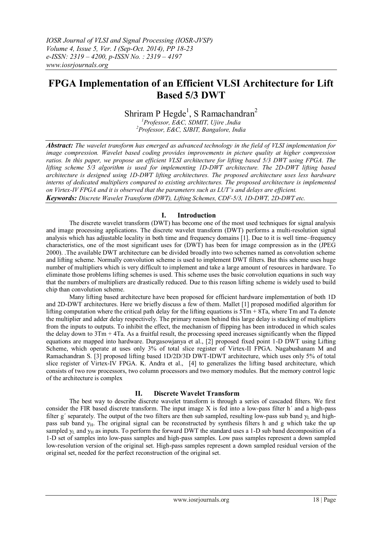# **FPGA Implementation of an Efficient VLSI Architecture for Lift Based 5/3 DWT**

Shriram P Hegde<sup>1</sup>, S Ramachandran<sup>2</sup>

*<sup>1</sup>Professor, E&C, SDMIT, Ujire ,India <sup>2</sup>Professor, E&C, SJBIT, Bangalore, India*

*Abstract: The wavelet transform has emerged as advanced technology in the field of VLSI implementation for image compression. Wavelet based coding provides improvements in picture quality at higher compression ratios. In this paper, we propose an efficient VLSI architecture for lifting based 5/3 DWT using FPGA. The lifting scheme 5/3 algorithm is used for implementing 1D-DWT architecture. The 2D-DWT lifting based architecture is designed using 1D-DWT lifting architectures. The proposed architecture uses less hardware interns of dedicated multipliers compared to existing architectures. The proposed architecture is implemented on Virtex-IV FPGA and it is observed that the parameters such as LUT's and delays are efficient. Keywords: Discrete Wavelet Transform (DWT), Lifting Schemes, CDF-5/3, 1D-DWT, 2D-DWT etc.*

#### **I. Introduction**

The discrete wavelet transform (DWT) has become one of the most used techniques for signal analysis and image processing applications. The discrete wavelet transform (DWT) performs a multi-resolution signal analysis which has adjustable locality in both time and frequency domains [1]. Due to it is well time–frequency characteristics, one of the most significant uses for (DWT) has been for image compression as in the (JPEG 2000). .The available DWT architecture can be divided broadly into two schemes named as convolution scheme and lifting scheme. Normally convolution scheme is used to implement DWT filters. But this scheme uses huge number of multipliers which is very difficult to implement and take a large amount of resources in hardware. To eliminate those problems lifting schemes is used. This scheme uses the basic convolution equations in such way that the numbers of multipliers are drastically reduced. Due to this reason lifting scheme is widely used to build chip than convolution scheme.

Many lifting based architecture have been proposed for efficient hardware implementation of both 1D and 2D-DWT architectures. Here we briefly discuss a few of them. Mallet [1] proposed modified algorithm for lifting computation where the critical path delay for the lifting equations is  $5Tm + 8Ta$ , where Tm and Ta denote the multiplier and adder delay respectively. The primary reason behind this large delay is stacking of multipliers from the inputs to outputs. To inhibit the effect, the mechanism of flipping has been introduced in which scales the delay down to  $3Tm + 4Ta$ . As a fruitful result, the processing speed increases significantly when the flipped equations are mapped into hardware. Durgasowjanya et al., [2] proposed fixed point 1-D DWT using Lifting Scheme, which operate at uses only 3% of total slice register of Virtex-II FPGA. Nagabushanam M and Ramachandran S. [3] proposed lifting based 1D/2D/3D DWT-IDWT architecture, which uses only 5% of total slice register of Virtex-IV FPGA. K. Andra et al., [4] to generalizes the lifting based architecture, which consists of two row processors, two column processors and two memory modules. But the memory control logic of the architecture is complex

### **II. Discrete Wavelet Transform**

The best way to describe discrete wavelet transform is through a series of cascaded filters. We first consider the FIR based discrete transform. The input image X is fed into a low-pass filter h´ and a high-pass filter g' separately. The output of the two filters are then sub sampled, resulting low-pass sub band  $y<sub>L</sub>$  and highpass sub band  $y_H$ . The original signal can be reconstructed by synthesis filters h and g which take the up sampled  $y_L$  and  $y_H$  as inputs. To perform the forward DWT the standard uses a 1-D sub band decomposition of a 1-D set of samples into low-pass samples and high-pass samples. Low pass samples represent a down sampled low-resolution version of the original set. High-pass samples represent a down sampled residual version of the original set, needed for the perfect reconstruction of the original set.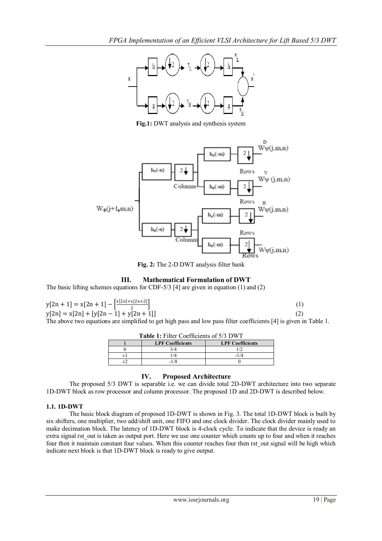

**Fig.1:** DWT analysis and synthesis system



**Fig. 2:** The 2-D DWT analysis filter bank

# **III. Mathematical Formulation of DWT**

The basic lifting schemes equations for CDF-5/3 [4] are given in equation (1) and (2)

$$
y[2n + 1] = x[2n + 1] - \frac{x[2n] + x[2n + 2]}{2}
$$
  
\n
$$
y[2n] = x[2n] + [y[2n - 1] + y[2n + 1]]
$$
\n(1)

The above two equations are simplified to get high pass and low pass filter coefficients [4] is given in Table 1.

| <b>Table 1:</b> Filter Coefficients of 5/3 DWT |                         |                         |  |  |
|------------------------------------------------|-------------------------|-------------------------|--|--|
|                                                | <b>LPF Coefficients</b> | <b>LPF Coefficients</b> |  |  |
|                                                | 3/4                     |                         |  |  |
|                                                | 14                      | -1/4                    |  |  |
|                                                |                         |                         |  |  |

### **IV. Proposed Architecture**

The proposed 5/3 DWT is separable i.e. we can divide total 2D-DWT architecture into two separate 1D-DWT block as row processor and column processor. The proposed 1D and 2D-DWT is described below.

# **1.1. 1D-DWT**

The basic block diagram of proposed 1D-DWT is shown in Fig. 3. The total 1D-DWT block is built by six shifters, one multiplier, two add/shift unit, one FIFO and one clock divider. The clock divider mainly used to make decimation block. The latency of 1D-DWT block is 4-clock cycle. To indicate that the device is ready an extra signal rst out is taken as output port. Here we use one counter which counts up to four and when it reaches four then it maintain constant four values. When this counter reaches four then rst\_out signal will be high which indicate next block is that 1D-DWT block is ready to give output.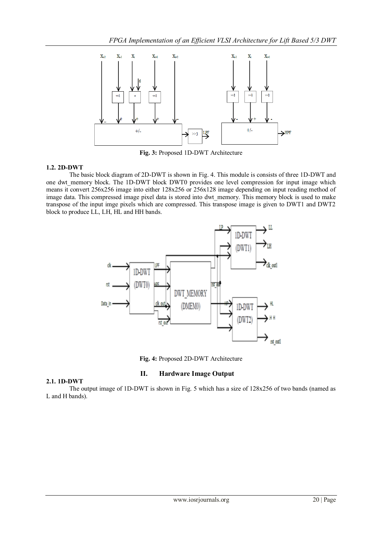

**Fig. 3:** Proposed 1D-DWT Architecture

The basic block diagram of 2D-DWT is shown in Fig. 4. This module is consists of three 1D-DWT and one dwt memory block. The 1D-DWT block DWT0 provides one level compression for input image which means it convert 256x256 image into either 128x256 or 256x128 image depending on input reading method of image data. This compressed image pixel data is stored into dwt memory. This memory block is used to make transpose of the input imge pixels which are compressed. This transpose image is given to DWT1 and DWT2 block to produce LL, LH, HL and HH bands.



**Fig. 4:** Proposed 2D-DWT Architecture

# **2.1. 1D-DWT**

# **II. Hardware Image Output**

The output image of 1D-DWT is shown in Fig. 5 which has a size of 128x256 of two bands (named as L and H bands).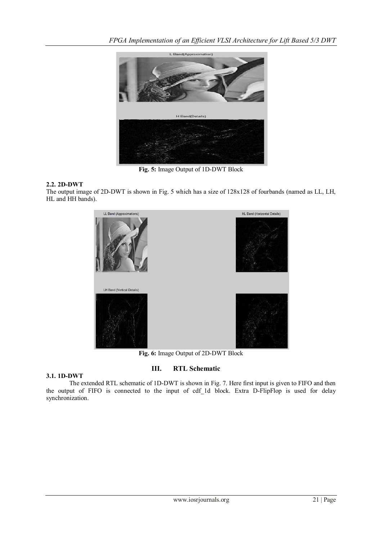

**Fig. 5:** Image Output of 1D-DWT Block

The output image of 2D-DWT is shown in Fig. 5 which has a size of 128x128 of fourbands (named as LL, LH, HL and HH bands).



**Fig. 6:** Image Output of 2D-DWT Block

# **III. RTL Schematic**

### **3.1. 1D-DWT**

The extended RTL schematic of 1D-DWT is shown in Fig. 7. Here first input is given to FIFO and then the output of FIFO is connected to the input of cdf 1d block. Extra D-FlipFlop is used for delay synchronization.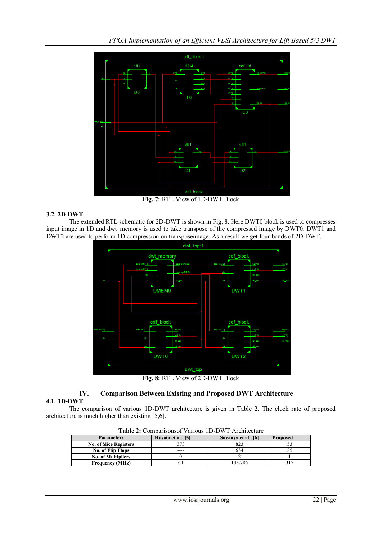

**Fig. 7:** RTL View of 1D-DWT Block

The extended RTL schematic for 2D-DWT is shown in Fig. 8. Here DWT0 block is used to compresses input image in 1D and dwt memory is used to take transpose of the compressed image by DWT0. DWT1 and DWT2 are used to perform 1D compression on transposeimage. As a result we get four bands of 2D-DWT.



**Fig. 8:** RTL View of 2D-DWT Block

# **IV. Comparison Between Existing and Proposed DWT Architecture**

### **4.1. 1D-DWT**

The comparison of various 1D-DWT architecture is given in Table 2. The clock rate of proposed architecture is much higher than existing [5,6].

| <b>Table 2.</b> Comparisonsor various TD-D $\alpha$ T Architecture |                    |                    |                 |  |  |  |
|--------------------------------------------------------------------|--------------------|--------------------|-----------------|--|--|--|
| <b>Parameters</b>                                                  | Husain et al., [5] | Sowmya et al., [6] | <b>Proposed</b> |  |  |  |
| <b>No. of Slice Registers</b>                                      | 373                | 823                |                 |  |  |  |
| <b>No. of Flip Flops</b>                                           | ----               | 634                |                 |  |  |  |
| <b>No. of Multipliers</b>                                          |                    |                    |                 |  |  |  |
| <b>Frequency (MHz)</b>                                             | 64                 | 33.786             |                 |  |  |  |
|                                                                    |                    |                    |                 |  |  |  |

**Table 2:** Comparisonsof Various 1D-DWT Architecture